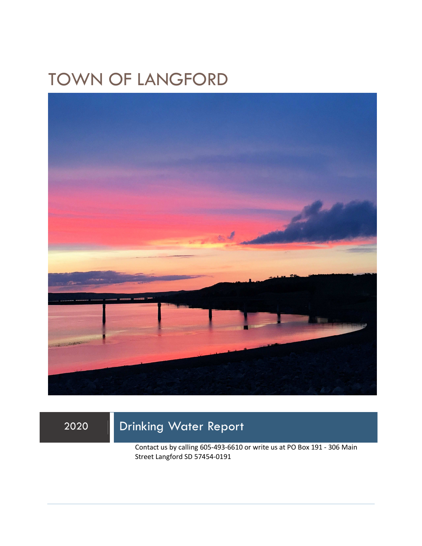# TOWN OF LANGFORD



## 2020 Drinking Water Report

Contact us by calling 605-493-6610 or write us at PO Box 191 - 306 Main Street Langford SD 57454-0191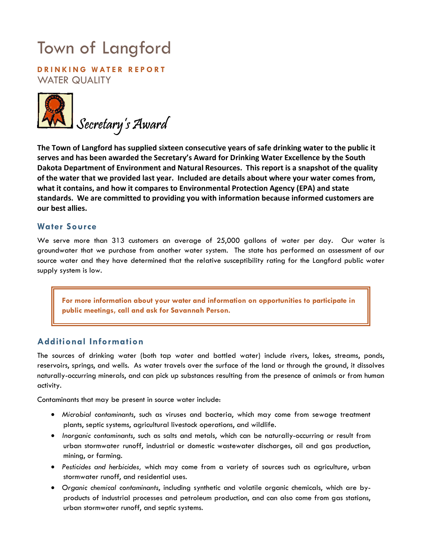# Town of Langford

**D R I N K I N G W AT E R R E P O R T**  WATER QUALITY



**The Town of Langford has supplied sixteen consecutive years of safe drinking water to the public it serves and has been awarded the Secretary's Award for Drinking Water Excellence by the South Dakota Department of Environment and Natural Resources. This report is a snapshot of the quality of the water that we provided last year. Included are details about where your water comes from, what it contains, and how it compares to Environmental Protection Agency (EPA) and state standards. We are committed to providing you with information because informed customers are our best allies.** 

### **Water Source**

We serve more than 313 customers an average of 25,000 gallons of water per day. Our water is groundwater that we purchase from another water system. The state has performed an assessment of our source water and they have determined that the relative susceptibility rating for the Langford public water supply system is low.

**For more information about your water and information on opportunities to participate in public meetings, call and ask for Savannah Person.** 

#### **Additional Information**

The sources of drinking water (both tap water and bottled water) include rivers, lakes, streams, ponds, reservoirs, springs, and wells. As water travels over the surface of the land or through the ground, it dissolves naturally-occurring minerals, and can pick up substances resulting from the presence of animals or from human activity.

Contaminants that may be present in source water include:

- *Microbial contaminants*, such as viruses and bacteria, which may come from sewage treatment plants, septic systems, agricultural livestock operations, and wildlife.
- *Inorganic contaminants*, such as salts and metals, which can be naturally-occurring or result from urban stormwater runoff, industrial or domestic wastewater discharges, oil and gas production, mining, or farming.
- *Pesticides and herbicides,* which may come from a variety of sources such as agriculture, urban stormwater runoff, and residential uses.
- *Organic chemical contaminants*, including synthetic and volatile organic chemicals, which are byproducts of industrial processes and petroleum production, and can also come from gas stations, urban stormwater runoff, and septic systems.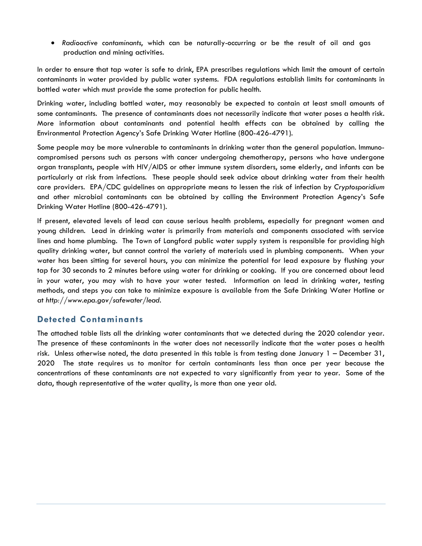• *Radioactive contaminants*, which can be naturally-occurring or be the result of oil and gas production and mining activities.

In order to ensure that tap water is safe to drink, EPA prescribes regulations which limit the amount of certain contaminants in water provided by public water systems. FDA regulations establish limits for contaminants in bottled water which must provide the same protection for public health.

Drinking water, including bottled water, may reasonably be expected to contain at least small amounts of some contaminants. The presence of contaminants does not necessarily indicate that water poses a health risk. More information about contaminants and potential health effects can be obtained by calling the Environmental Protection Agency's Safe Drinking Water Hotline (800-426-4791).

Some people may be more vulnerable to contaminants in drinking water than the general population. Immunocompromised persons such as persons with cancer undergoing chemotherapy, persons who have undergone organ transplants, people with HIV/AIDS or other immune system disorders, some elderly, and infants can be particularly at risk from infections. These people should seek advice about drinking water from their health care providers. EPA/CDC guidelines on appropriate means to lessen the risk of infection by *Cryptosporidium* and other microbial contaminants can be obtained by calling the Environment Protection Agency's Safe Drinking Water Hotline (800-426-4791).

If present, elevated levels of lead can cause serious health problems, especially for pregnant women and young children. Lead in drinking water is primarily from materials and components associated with service lines and home plumbing. The Town of Langford public water supply system is responsible for providing high quality drinking water, but cannot control the variety of materials used in plumbing components. When your water has been sitting for several hours, you can minimize the potential for lead exposure by flushing your tap for 30 seconds to 2 minutes before using water for drinking or cooking. If you are concerned about lead in your water, you may wish to have your water tested. Information on lead in drinking water, testing methods, and steps you can take to minimize exposure is available from the Safe Drinking Water Hotline or at *http://www.epa.gov/safewater/lead*.

#### **Detected Contaminants**

The attached table lists all the drinking water contaminants that we detected during the 2020 calendar year. The presence of these contaminants in the water does not necessarily indicate that the water poses a health risk. Unless otherwise noted, the data presented in this table is from testing done January 1 – December 31, 2020 The state requires us to monitor for certain contaminants less than once per year because the concentrations of these contaminants are not expected to vary significantly from year to year. Some of the data, though representative of the water quality, is more than one year old.